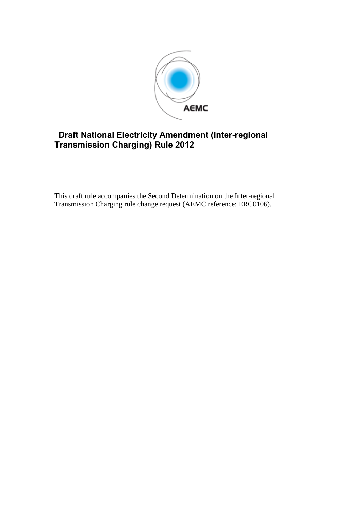

# **Draft National Electricity Amendment (Inter-regional Transmission Charging) Rule 2012**

This draft rule accompanies the Second Determination on the Inter-regional Transmission Charging rule change request (AEMC reference: ERC0106).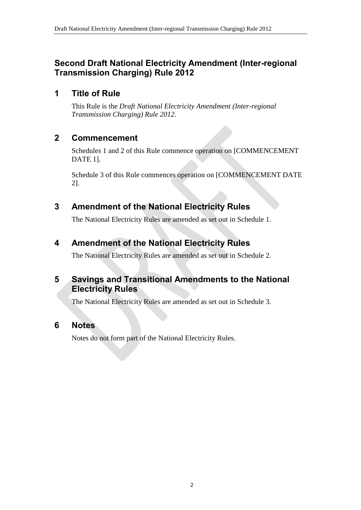# **Second Draft National Electricity Amendment (Inter-regional Transmission Charging) Rule 2012**

# **1 Title of Rule**

This Rule is the *Draft National Electricity Amendment (Inter-regional Transmission Charging) Rule 2012*.

# **2 Commencement**

Schedules 1 and 2 of this Rule commence operation on [COMMENCEMENT DATE 1].

Schedule 3 of this Rule commences operation on [COMMENCEMENT DATE 2].

# <span id="page-1-0"></span>**3 Amendment of the National Electricity Rules**

The National Electricity Rules are amended as set out in [Schedule 1.](#page-2-0)

# <span id="page-1-1"></span>**4 Amendment of the National Electricity Rules**

The National Electricity Rules are amended as set out in [Schedule 2.](#page-17-0)

# **5 Savings and Transitional Amendments to the National Electricity Rules**

The National Electricity Rules are amended as set out in [Schedule 3.](#page-20-0)

# **6 Notes**

Notes do not form part of the National Electricity Rules.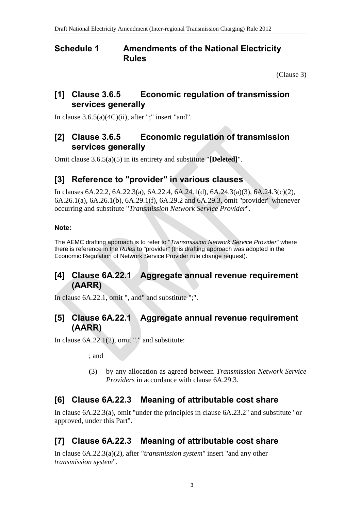### <span id="page-2-0"></span>**Schedule 1 Amendments of the National Electricity Rules**

(Clause [3\)](#page-1-0)

## **[1] Clause 3.6.5 Economic regulation of transmission services generally**

In clause  $3.6.5(a)(4C)(ii)$ , after ";" insert "and".

# **[2] Clause 3.6.5 Economic regulation of transmission services generally**

Omit clause 3.6.5(a)(5) in its entirety and substitute "**[Deleted]**".

# **[3] Reference to "provider" in various clauses**

In clauses 6A.22.2, 6A.22.3(a), 6A.22.4, 6A.24.1(d), 6A.24.3(a)(3), 6A.24.3(c)(2), 6A.26.1(a), 6A.26.1(b), 6A.29.1(f), 6A.29.2 and 6A.29.3, omit "provider" whenever occurring and substitute "*Transmission Network Service Provider*".

#### **Note:**

The AEMC drafting approach is to refer to "*Transmission Network Service Provider*" where there is reference in the *Rules* to "provider" (this drafting approach was adopted in the Economic Regulation of Network Service Provider rule change request).

# **[4] Clause 6A.22.1 Aggregate annual revenue requirement (AARR)**

In clause 6A.22.1, omit ", and" and substitute ";".

## **[5] Clause 6A.22.1 Aggregate annual revenue requirement (AARR)**

In clause 6A.22.1(2), omit "." and substitute:

; and

(3) by any allocation as agreed between *Transmission Network Service Providers* in accordance with clause 6A.29.3.

# **[6] Clause 6A.22.3 Meaning of attributable cost share**

In clause 6A.22.3(a), omit "under the principles in clause 6A.23.2" and substitute "or approved, under this Part".

# **[7] Clause 6A.22.3 Meaning of attributable cost share**

In clause 6A.22.3(a)(2), after "*transmission system*" insert "and any other *transmission system*".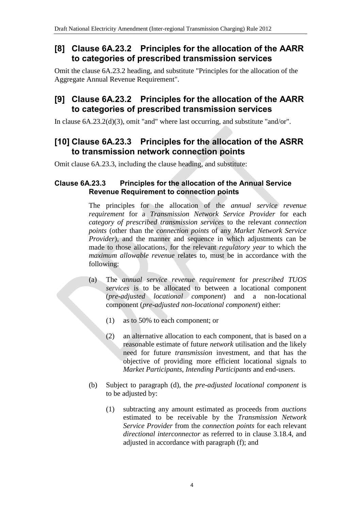# **[8] Clause 6A.23.2 Principles for the allocation of the AARR to categories of prescribed transmission services**

Omit the clause 6A.23.2 heading, and substitute "Principles for the allocation of the Aggregate Annual Revenue Requirement".

## **[9] Clause 6A.23.2 Principles for the allocation of the AARR to categories of prescribed transmission services**

In clause 6A.23.2(d)(3), omit "and" where last occurring, and substitute "and/or".

### **[10] Clause 6A.23.3 Principles for the allocation of the ASRR to transmission network connection points**

Omit clause 6A.23.3, including the clause heading, and substitute:

#### **Clause 6A.23.3 Principles for the allocation of the Annual Service Revenue Requirement to connection points**

The principles for the allocation of the *annual service revenue requirement* for a *Transmission Network Service Provider* for each *category of prescribed transmission services* to the relevant *connection points* (other than the *connection points* of any *Market Network Service Provider*), and the manner and sequence in which adjustments can be made to those allocations, for the relevant *regulatory year* to which the *maximum allowable revenue* relates to, must be in accordance with the following:

- (a) The *annual service revenue requirement* for *prescribed TUOS services* is to be allocated to between a locational component (*pre-adjusted locational component*) and a non-locational component (*pre-adjusted non-locational component*) either:
	- (1) as to 50% to each component; or
	- (2) an alternative allocation to each component, that is based on a reasonable estimate of future *network* utilisation and the likely need for future *transmission* investment, and that has the objective of providing more efficient locational signals to *Market Participants*, *Intending Participants* and end-users.
- (b) Subject to paragraph (d), the *pre-adjusted locational component* is to be adjusted by:
	- (1) subtracting any amount estimated as proceeds from *auctions* estimated to be receivable by the *Transmission Network Service Provider* from the *connection points* for each relevant *directional interconnector* as referred to in clause 3.18.4, and adjusted in accordance with paragraph (f); and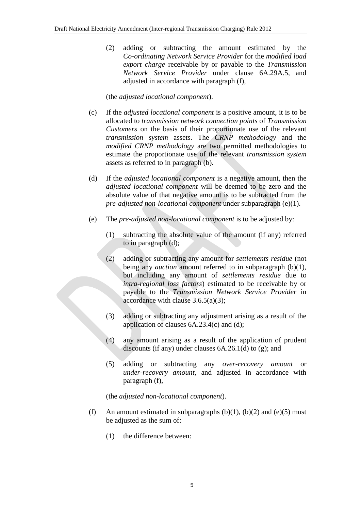(2) adding or subtracting the amount estimated by the *Co-ordinating Network Service Provider* for the *modified load export charge* receivable by or payable to the *Transmission Network Service Provider* under clause 6A.29A.5, and adjusted in accordance with paragraph (f),

(the *adjusted locational component*).

- (c) If the *adjusted locational component* is a positive amount, it is to be allocated to *transmission network connection points* of *Transmission Customers* on the basis of their proportionate use of the relevant *transmission system* assets. The *CRNP methodology* and the *modified CRNP methodology* are two permitted methodologies to estimate the proportionate use of the relevant *transmission system* assets as referred to in paragraph (b).
- (d) If the *adjusted locational component* is a negative amount, then the *adjusted locational component* will be deemed to be zero and the absolute value of that negative amount is to be subtracted from the *pre-adjusted non-locational component* under subparagraph (e)(1).
- (e) The *pre-adjusted non-locational component* is to be adjusted by:
	- (1) subtracting the absolute value of the amount (if any) referred to in paragraph (d);
	- (2) adding or subtracting any amount for *settlements residue* (not being any *auction* amount referred to in subparagraph (b)(1), but including any amount of *settlements residue* due to *intra-regional loss factors*) estimated to be receivable by or payable to the *Transmission Network Service Provider* in accordance with clause  $3.6.5(a)(3)$ ;
	- (3) adding or subtracting any adjustment arising as a result of the application of clauses  $6A.23.4(c)$  and  $(d)$ ;
	- (4) any amount arising as a result of the application of prudent discounts (if any) under clauses 6A.26.1(d) to (g); and
	- (5) adding or subtracting any *over-recovery amount* or *under-recovery amount*, and adjusted in accordance with paragraph (f),

(the *adjusted non-locational component*).

- (f) An amount estimated in subparagraphs  $(b)(1)$ ,  $(b)(2)$  and  $(e)(5)$  must be adjusted as the sum of:
	- (1) the difference between: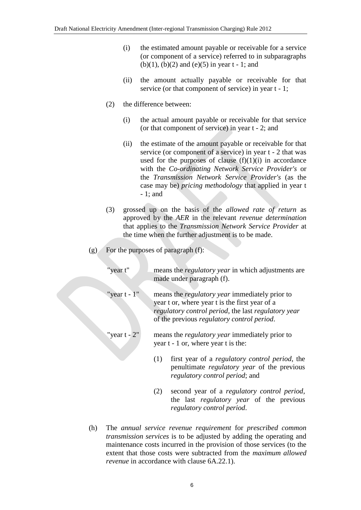- (i) the estimated amount payable or receivable for a service (or component of a service) referred to in subparagraphs (b)(1), (b)(2) and (e)(5) in year  $t - 1$ ; and
- (ii) the amount actually payable or receivable for that service (or that component of service) in year  $t - 1$ ;
- (2) the difference between:
	- (i) the actual amount payable or receivable for that service (or that component of service) in year t - 2; and
	- (ii) the estimate of the amount payable or receivable for that service (or component of a service) in year t - 2 that was used for the purposes of clause  $(f)(1)(i)$  in accordance with the *Co-ordinating Network Service Provider's* or the *Transmission Network Service Provider's* (as the case may be) *pricing methodology* that applied in year t - 1; and
- (3) grossed up on the basis of the *allowed rate of return* as approved by the *AER* in the relevant *revenue determination* that applies to the *Transmission Network Service Provider* at the time when the further adjustment is to be made.
- (g) For the purposes of paragraph (f):
	- "year t" means the *regulatory year* in which adjustments are made under paragraph (f).
	- "year t 1" means the *regulatory year* immediately prior to year t or, where year t is the first year of a *regulatory control period*, the last *regulatory year* of the previous *regulatory control period*.
	- "year t 2" means the *regulatory year* immediately prior to year t - 1 or, where year t is the:
		- (1) first year of a *regulatory control period*, the penultimate *regulatory year* of the previous *regulatory control period*; and
		- (2) second year of a *regulatory control period*, the last *regulatory year* of the previous *regulatory control period*.
- (h) The *annual service revenue requirement* for *prescribed common transmission services* is to be adjusted by adding the operating and maintenance costs incurred in the provision of those services (to the extent that those costs were subtracted from the *maximum allowed revenue* in accordance with clause 6A.22.1).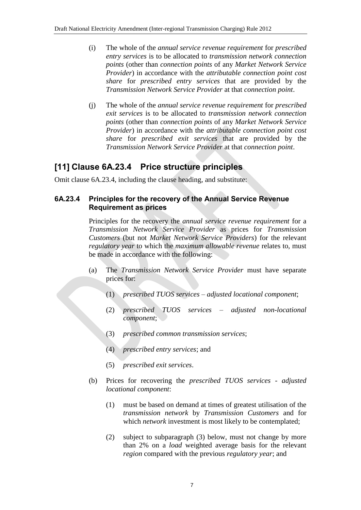- (i) The whole of the *annual service revenue requirement* for *prescribed entry services* is to be allocated to *transmission network connection points* (other than *connection points* of any *Market Network Service Provider*) in accordance with the *attributable connection point cost share* for *prescribed entry services* that are provided by the *Transmission Network Service Provider* at that *connection point*.
- (j) The whole of the *annual service revenue requirement* for *prescribed exit services* is to be allocated to *transmission network connection points* (other than *connection points* of any *Market Network Service Provider*) in accordance with the *attributable connection point cost share* for *prescribed exit services* that are provided by the *Transmission Network Service Provider* at that *connection point*.

# **[11] Clause 6A.23.4 Price structure principles**

Omit clause 6A.23.4, including the clause heading, and substitute:

#### **6A.23.4 Principles for the recovery of the Annual Service Revenue Requirement as prices**

Principles for the recovery the *annual service revenue requirement* for a *Transmission Network Service Provider* as prices for *Transmission Customers* (but not *Market Network Service Providers*) for the relevant *regulatory year* to which the *maximum allowable revenue* relates to, must be made in accordance with the following:

- (a) The *Transmission Network Service Provider* must have separate prices for:
	- (1) *prescribed TUOS services adjusted locational component*;
	- (2) *prescribed TUOS services adjusted non-locational component*;
	- (3) *prescribed common transmission services*;
	- (4) *prescribed entry services*; and
	- (5) *prescribed exit services*.
- (b) Prices for recovering the *prescribed TUOS services adjusted locational component*:
	- (1) must be based on demand at times of greatest utilisation of the *transmission network* by *Transmission Customers* and for which *network* investment is most likely to be contemplated;
	- (2) subject to subparagraph (3) below, must not change by more than 2% on a *load* weighted average basis for the relevant *region* compared with the previous *regulatory year*; and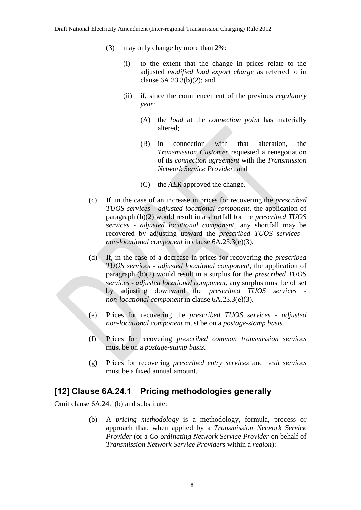- (3) may only change by more than 2%:
	- (i) to the extent that the change in prices relate to the adjusted *modified load export charge* as referred to in clause  $6A.23.3(b)(2)$ ; and
	- (ii) if, since the commencement of the previous *regulatory year*:
		- (A) the *load* at the *connection point* has materially altered;
		- (B) in connection with that alteration, the *Transmission Customer* requested a renegotiation of its *connection agreement* with the *Transmission Network Service Provider*; and
		- (C) the *AER* approved the change.
- (c) If, in the case of an increase in prices for recovering the *prescribed TUOS services* - *adjusted locational component*, the application of paragraph (b)(2) would result in a shortfall for the *prescribed TUOS services* - *adjusted locational component*, any shortfall may be recovered by adjusting upward the *prescribed TUOS services non-locational component* in clause 6A.23.3(e)(3).
- (d) If, in the case of a decrease in prices for recovering the *prescribed TUOS services* - *adjusted locational component*, the application of paragraph (b)(2) would result in a surplus for the *prescribed TUOS services* - *adjusted locational component*, any surplus must be offset by adjusting downward the *prescribed TUOS services non-locational component* in clause 6A.23.3(e)(3).
- (e) Prices for recovering the *prescribed TUOS services adjusted non-locational component* must be on a *postage-stamp basis*.
- (f) Prices for recovering *prescribed common transmission services* must be on a *postage-stamp basis*.
- (g) Prices for recovering *prescribed entry services* and *exit services* must be a fixed annual amount.

#### **[12] Clause 6A.24.1 Pricing methodologies generally**

Omit clause 6A.24.1(b) and substitute:

(b) A *pricing methodology* is a methodology, formula, process or approach that, when applied by a *Transmission Network Service Provider* (or a *Co-ordinating Network Service Provider* on behalf of *Transmission Network Service Providers* within a *region*):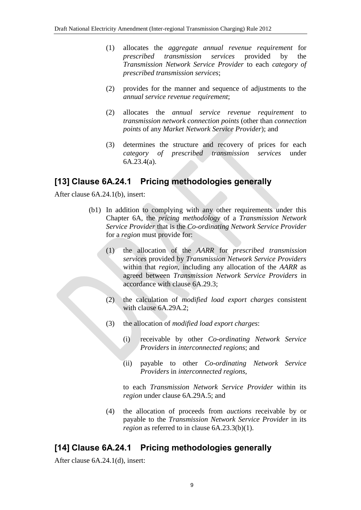- (1) allocates the *aggregate annual revenue requirement* for *prescribed transmission services* provided by the *Transmission Network Service Provider* to each *category of prescribed transmission services*;
- (2) provides for the manner and sequence of adjustments to the *annual service revenue requirement*;
- (2) allocates the *annual service revenue requirement* to *transmission network connection points* (other than *connection points* of any *Market Network Service Provider*); and
- (3) determines the structure and recovery of prices for each *category of prescribed transmission services* under 6A.23.4(a).

## **[13] Clause 6A.24.1 Pricing methodologies generally**

After clause 6A.24.1(b), insert:

- (b1) In addition to complying with any other requirements under this Chapter 6A, the *pricing methodology* of a *Transmission Network Service Provider* that is the *Co-ordinating Network Service Provider* for a *region* must provide for:
	- (1) the allocation of the *AARR* for *prescribed transmission services* provided by *Transmission Network Service Providers* within that *region*, including any allocation of the *AARR* as agreed between *Transmission Network Service Providers* in accordance with clause 6A.29.3;
	- (2) the calculation of *modified load export charges* consistent with clause 6A.29A.2;
	- (3) the allocation of *modified load export charges*:
		- (i) receivable by other *Co-ordinating Network Service Providers* in *interconnected regions*; and
		- (ii) payable to other *Co-ordinating Network Service Providers* in *interconnected regions*,

to each *Transmission Network Service Provider* within its *region* under clause 6A.29A.5; and

(4) the allocation of proceeds from *auctions* receivable by or payable to the *Transmission Network Service Provider* in its *region* as referred to in clause 6A.23.3(b)(1).

# **[14] Clause 6A.24.1 Pricing methodologies generally**

After clause 6A.24.1(d), insert: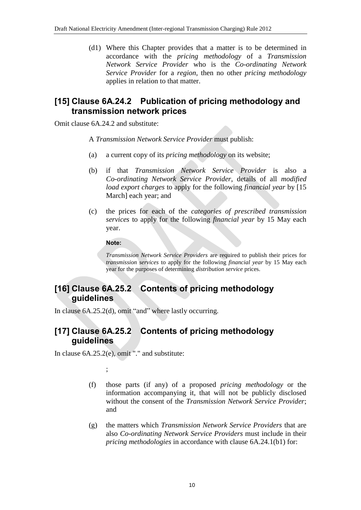(d1) Where this Chapter provides that a matter is to be determined in accordance with the *pricing methodology* of a *Transmission Network Service Provider* who is the *Co-ordinating Network Service Provider* for a *region*, then no other *pricing methodology* applies in relation to that matter.

## **[15] Clause 6A.24.2 Publication of pricing methodology and transmission network prices**

Omit clause 6A.24.2 and substitute:

A *Transmission Network Service Provider* must publish:

- (a) a current copy of its *pricing methodology* on its website;
- (b) if that *Transmission Network Service Provider* is also a *Co-ordinating Network Service Provider*, details of all *modified load export charges* to apply for the following *financial year* by [15 March] each year; and
- (c) the prices for each of the *categories of prescribed transmission services* to apply for the following *financial year* by 15 May each year.

**Note:**

*Transmission Network Service Providers* are required to publish their prices for *transmission services* to apply for the following *financial year* by 15 May each year for the purposes of determining *distribution service* prices.

# **[16] Clause 6A.25.2 Contents of pricing methodology guidelines**

In clause 6A.25.2(d), omit "and" where lastly occurring.

# **[17] Clause 6A.25.2 Contents of pricing methodology guidelines**

In clause 6A.25.2(e), omit "." and substitute:

;

- (f) those parts (if any) of a proposed *pricing methodology* or the information accompanying it, that will not be publicly disclosed without the consent of the *Transmission Network Service Provider*; and
- (g) the matters which *Transmission Network Service Providers* that are also *Co-ordinating Network Service Providers* must include in their *pricing methodologies* in accordance with clause 6A.24.1(b1) for: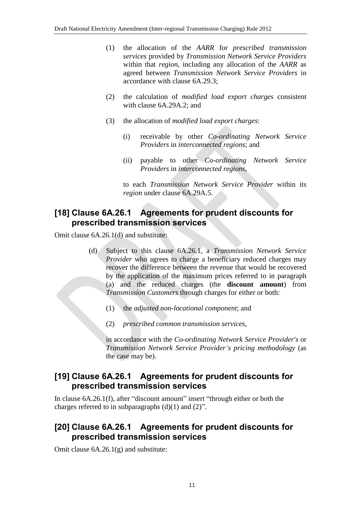- (1) the allocation of the *AARR* for *prescribed transmission services* provided by *Transmission Network Service Providers* within that *region*, including any allocation of the *AARR* as agreed between *Transmission Network Service Providers* in accordance with clause 6A.29.3;
- (2) the calculation of *modified load export charges* consistent with clause 6A.29A.2; and
- (3) the allocation of *modified load export charges*:
	- (i) receivable by other *Co-ordinating Network Service Providers* in *interconnected regions*; and
	- (ii) payable to other *Co-ordinating Network Service Providers* in *interconnected regions*,

to each *Transmission Network Service Provider* within its *region* under clause 6A.29A.5.

# **[18] Clause 6A.26.1 Agreements for prudent discounts for prescribed transmission services**

Omit clause 6A.26.1(d) and substitute:

- (d) Subject to this clause 6A.26.1, a *Transmission Network Service Provider* who agrees to charge a beneficiary reduced charges may recover the difference between the revenue that would be recovered by the application of the maximum prices referred to in paragraph (a) and the reduced charges (the **discount amount**) from *Transmission Customers* through charges for either or both:
	- (1) the *adjusted non-locational component*; and
	- (2) *prescribed common transmission services*,

in accordance with the *Co-ordinating Network Service Provider's* or *Transmission Network Service Provider's pricing methodology* (as the case may be).

#### **[19] Clause 6A.26.1 Agreements for prudent discounts for prescribed transmission services**

In clause 6A.26.1(f), after "discount amount" insert "through either or both the charges referred to in subparagraphs  $(d)(1)$  and  $(2)$ ".

## **[20] Clause 6A.26.1 Agreements for prudent discounts for prescribed transmission services**

Omit clause 6A.26.1(g) and substitute: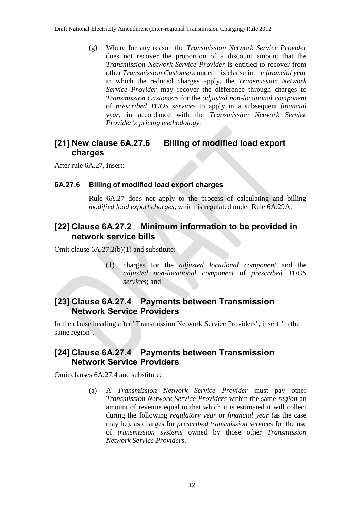(g) Where for any reason the *Transmission Network Service Provider* does not recover the proportion of a discount amount that the *Transmission Network Service Provider* is entitled to recover from other *Transmission Customers* under this clause in the *financial year* in which the reduced charges apply, the *Transmission Network Service Provider* may recover the difference through charges to *Transmission Customers* for the *adjusted non-locational component* of *prescribed TUOS services* to apply in a subsequent *financial year*, in accordance with the *Transmission Network Service Provider's pricing methodology.*

## **[21] New clause 6A.27.6 Billing of modified load export charges**

After rule 6A.27, insert:

#### **6A.27.6 Billing of modified load export charges**

Rule 6A.27 does not apply to the process of calculating and billing *modified load export charges*, which is regulated under Rule 6A.29A.

### **[22] Clause 6A.27.2 Minimum information to be provided in network service bills**

Omit clause 6A.27.2(b)(1) and substitute:

(1) charges for the *adjusted locational component* and the *adjusted non-locational component* of *prescribed TUOS services*; and

## **[23] Clause 6A.27.4 Payments between Transmission Network Service Providers**

In the clause heading after "Transmission Network Service Providers", insert "in the same region".

## **[24] Clause 6A.27.4 Payments between Transmission Network Service Providers**

Omit clauses 6A.27.4 and substitute:

(a) A *Transmission Network Service Provider* must pay other *Transmission Network Service Providers* within the same *region* an amount of revenue equal to that which it is estimated it will collect during the following *regulatory year* or *financial year* (as the case may be), as charges for *prescribed transmission services* for the use of *transmission systems* owned by those other *Transmission Network Service Providers*.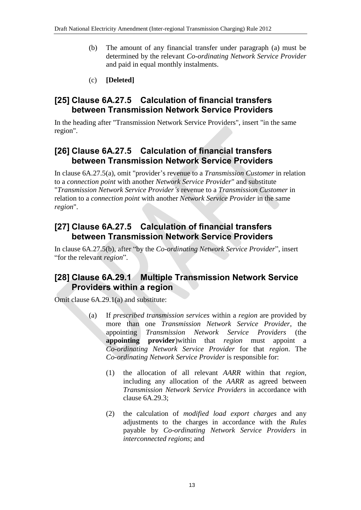- (b) The amount of any financial transfer under paragraph (a) must be determined by the relevant *Co-ordinating Network Service Provider* and paid in equal monthly instalments.
- (c) **[Deleted]**

#### **[25] Clause 6A.27.5 Calculation of financial transfers between Transmission Network Service Providers**

In the heading after "Transmission Network Service Providers", insert "in the same region".

## **[26] Clause 6A.27.5 Calculation of financial transfers between Transmission Network Service Providers**

In clause 6A.27.5(a), omit "provider's revenue to a *Transmission Customer* in relation to a *connection point* with another *Network Service Provider*" and substitute "*Transmission Network Service Provider's* revenue to a *Transmission Customer* in relation to a *connection point* with another *Network Service Provider* in the same *region*".

#### **[27] Clause 6A.27.5 Calculation of financial transfers between Transmission Network Service Providers**

In clause 6A.27.5(b), after "by the *Co-ordinating Network Service Provider*", insert "for the relevant *region*".

#### **[28] Clause 6A.29.1 Multiple Transmission Network Service Providers within a region**

Omit clause 6A.29.1(a) and substitute:

- (a) If *prescribed transmission services* within a *region* are provided by more than one *Transmission Network Service Provider*, the appointing *Transmission Network Service Providers* (the **appointing provider**)within that *region* must appoint a *Co-ordinating Network Service Provider* for that *region*. The *Co-ordinating Network Service Provider* is responsible for:
	- (1) the allocation of all relevant *AARR* within that *region*, including any allocation of the *AARR* as agreed between *Transmission Network Service Providers* in accordance with clause 6A.29.3;
	- (2) the calculation of *modified load export charges* and any adjustments to the charges in accordance with the *Rules* payable by *Co-ordinating Network Service Providers* in *interconnected regions*; and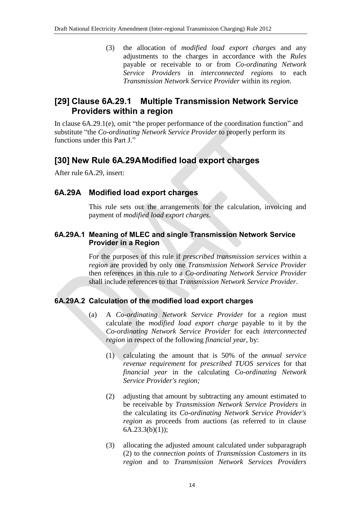(3) the allocation of *modified load export charges* and any adjustments to the charges in accordance with the *Rules* payable or receivable to or from *Co-ordinating Network Service Providers* in *interconnected regions* to each *Transmission Network Service Provider* within its *region*.

## **[29] Clause 6A.29.1 Multiple Transmission Network Service Providers within a region**

In clause 6A.29.1(e), omit "the proper performance of the coordination function" and substitute "the *Co-ordinating Network Service Provider* to properly perform its functions under this Part J."

#### **[30] New Rule 6A.29AModified load export charges**

After rule 6A.29, insert:

#### **6A.29A Modified load export charges**

This rule sets out the arrangements for the calculation, invoicing and payment of *modified load export charges*.

#### **6A.29A.1 Meaning of MLEC and single Transmission Network Service Provider in a Region**

For the purposes of this rule if *prescribed transmission services* within a *region* are provided by only one *Transmission Network Service Provider* then references in this rule to a *Co-ordinating Network Service Provider* shall include references to that *Transmission Network Service Provider*.

#### **6A.29A.2 Calculation of the modified load export charges**

- (a) A *Co-ordinating Network Service Provider* for a *region* must calculate the *modified load export charge* payable to it by the *Co-ordinating Network Service Provider* for each *interconnected region* in respect of the following *financial year*, by:
	- (1) calculating the amount that is 50% of the *annual service revenue requirement* for *prescribed TUOS services* for that *financial year* in the calculating *Co-ordinating Network Service Provider's region;*
	- (2) adjusting that amount by subtracting any amount estimated to be receivable by *Transmission Network Service Providers* in the calculating its *Co-ordinating Network Service Provider's region* as proceeds from auctions (as referred to in clause  $6A.23.3(b)(1);$
	- (3) allocating the adjusted amount calculated under subparagraph (2) to the *connection points* of *Transmission Customers* in its *region* and to *Transmission Network Services Providers*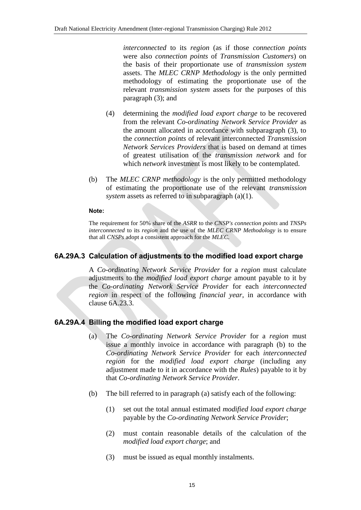*interconnected* to its *region* (as if those *connection points* were also *connection points* of *Transmission Customers*) on the basis of their proportionate use of *transmission system* assets. The *MLEC CRNP Methodology* is the only permitted methodology of estimating the proportionate use of the relevant *transmission system* assets for the purposes of this paragraph (3); and

- (4) determining the *modified load export charge* to be recovered from the relevant *Co-ordinating Network Service Provider* as the amount allocated in accordance with subparagraph (3), to the *connection points* of relevant interconnected *Transmission Network Services Providers* that is based on demand at times of greatest utilisation of the *transmission network* and for which *network* investment is most likely to be contemplated.
- (b) The *MLEC CRNP methodology* is the only permitted methodology of estimating the proportionate use of the relevant *transmission system* assets as referred to in subparagraph (a)(1).

#### **Note:**

The requirement for 50% share of the *ASRR* to the *CNSP's connection points* and *TNSPs interconnected* to its *region* and the use of the *MLEC CRNP Methodology* is to ensure that all *CNSPs* adopt a consistent approach for the *MLEC*.

#### **6A.29A.3 Calculation of adjustments to the modified load export charge**

A *Co-ordinating Network Service Provider* for a *region* must calculate adjustments to the *modified load export charge* amount payable to it by the *Co-ordinating Network Service Provider* for each *interconnected region* in respect of the following *financial year*, in accordance with clause 6A.23.3.

#### **6A.29A.4 Billing the modified load export charge**

- (a) The *Co-ordinating Network Service Provider* for a *region* must issue a monthly invoice in accordance with paragraph (b) to the *Co-ordinating Network Service Provider* for each *interconnected region* for the *modified load export charge* (including any adjustment made to it in accordance with the *Rules*) payable to it by that *Co-ordinating Network Service Provider*.
- (b) The bill referred to in paragraph (a) satisfy each of the following:
	- (1) set out the total annual estimated *modified load export charge* payable by the *Co-ordinating Network Service Provider*;
	- (2) must contain reasonable details of the calculation of the *modified load export charge*; and
	- (3) must be issued as equal monthly instalments.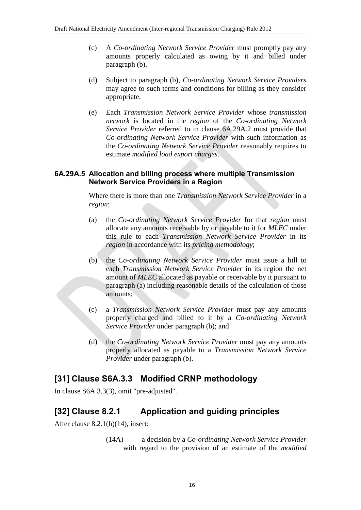- (c) A *Co-ordinating Network Service Provider* must promptly pay any amounts properly calculated as owing by it and billed under paragraph (b).
- (d) Subject to paragraph (b), *Co-ordinating Network Service Providers* may agree to such terms and conditions for billing as they consider appropriate.
- (e) Each *Transmission Network Service Provider* whose *transmission network* is located in the *region* of the *Co-ordinating Network Service Provider* referred to in clause 6A.29A.2 must provide that *Co-ordinating Network Service Provider* with such information as the *Co-ordinating Network Service Provider* reasonably requires to estimate *modified load export charges*.

#### **6A.29A.5 Allocation and billing process where multiple Transmission Network Service Providers in a Region**

Where there is more than one *Transmission Network Service Provider* in a *region*:

- (a) the *Co-ordinating Network Service Provider* for that *region* must allocate any amounts receivable by or payable to it for *MLEC* under this rule to each *Transmission Network Service Provider* in its *region* in accordance with its *pricing methodology*;
- (b) the *Co-ordinating Network Service Provider* must issue a bill to each *Transmission Network Service Provider* in its region the net amount of *MLEC* allocated as payable or receivable by it pursuant to paragraph (a) including reasonable details of the calculation of those amounts;
- (c) a *Transmission Network Service Provider* must pay any amounts properly charged and billed to it by a *Co-ordinating Network Service Provider* under paragraph (b); and
- (d) the *Co-ordinating Network Service Provider* must pay any amounts properly allocated as payable to a *Transmission Network Service Provider* under paragraph (b).

#### **[31] Clause S6A.3.3 Modified CRNP methodology**

In clause S6A.3.3(3), omit "pre-adjusted".

# **[32] Clause 8.2.1 Application and guiding principles**

After clause 8.2.1(h)(14), insert:

(14A) a decision by a *Co-ordinating Network Service Provider* with regard to the provision of an estimate of the *modified*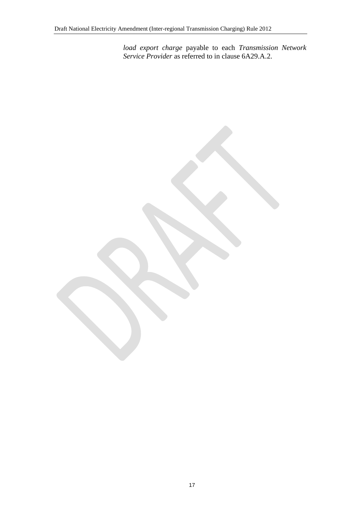*load export charge* payable to each *Transmission Network Service Provider* as referred to in clause 6A29.A.2.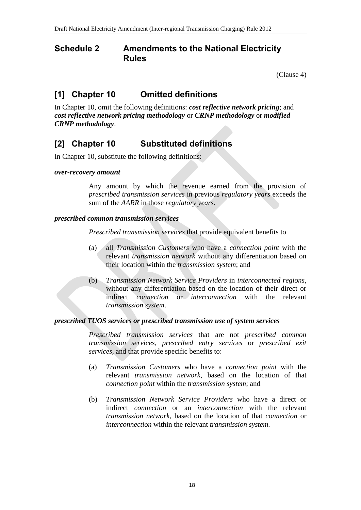#### <span id="page-17-0"></span>**Schedule 2 Amendments to the National Electricity Rules**

(Clause [4\)](#page-1-1)

# **[1] Chapter 10 Omitted definitions**

In Chapter 10, omit the following definitions: *cost reflective network pricing*; and *cost reflective network pricing methodology* or *CRNP methodology* or *modified CRNP methodology*.

## **[2] Chapter 10 Substituted definitions**

In Chapter 10, substitute the following definitions:

#### *over-recovery amount*

Any amount by which the revenue earned from the provision of *prescribed transmission services* in previous *regulatory years* exceeds the sum of the *AARR* in those *regulatory years*.

#### *prescribed common transmission services*

*Prescribed transmission services* that provide equivalent benefits to

- (a) all *Transmission Customers* who have a *connection point* with the relevant *transmission network* without any differentiation based on their location within the *transmission system*; and
- (b) *Transmission Network Service Providers* in *interconnected regions*, without any differentiation based on the location of their direct or indirect *connection* or *interconnection* with the relevant *transmission system*.

#### *prescribed TUOS services or prescribed transmission use of system services*

*Prescribed transmission services* that are not *prescribed common transmission services*, *prescribed entry services* or *prescribed exit services*, and that provide specific benefits to:

- (a) *Transmission Customers* who have a *connection point* with the relevant *transmission network*, based on the location of that *connection point* within the *transmission system*; and
- (b) *Transmission Network Service Providers* who have a direct or indirect *connection* or an *interconnection* with the relevant *transmission network*, based on the location of that *connection* or *interconnection* within the relevant *transmission system*.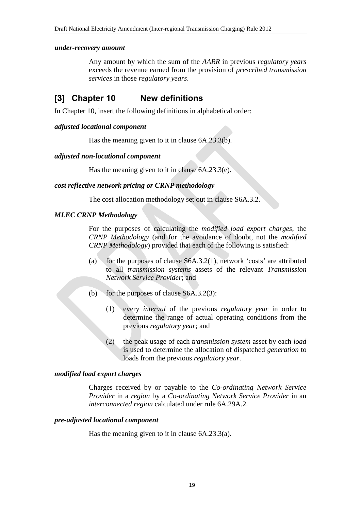#### *under-recovery amount*

Any amount by which the sum of the *AARR* in previous *regulatory years* exceeds the revenue earned from the provision of *prescribed transmission services* in those *regulatory years*.

### **[3] Chapter 10 New definitions**

In Chapter 10, insert the following definitions in alphabetical order:

#### *adjusted locational component*

Has the meaning given to it in clause 6A.23.3(b).

#### *adjusted non-locational component*

Has the meaning given to it in clause 6A.23.3(e).

#### *cost reflective network pricing or CRNP methodology*

The cost allocation methodology set out in clause S6A.3.2.

#### *MLEC CRNP Methodology*

For the purposes of calculating the *modified load export charges*, the *CRNP Methodology* (and for the avoidance of doubt, not the *modified CRNP Methodology*) provided that each of the following is satisfied:

- (a) for the purposes of clause S6A.3.2(1), network 'costs' are attributed to all *transmission systems* assets of the relevant *Transmission Network Service Provider*; and
- (b) for the purposes of clause S6A.3.2(3):
	- (1) every *interval* of the previous *regulatory year* in order to determine the range of actual operating conditions from the previous *regulatory year*; and
	- (2) the peak usage of each *transmission system* asset by each *load* is used to determine the allocation of dispatched *generation* to loads from the previous *regulatory year*.

#### *modified load export charges*

Charges received by or payable to the *Co-ordinating Network Service Provider* in a *region* by a *Co-ordinating Network Service Provider* in an *interconnected region* calculated under rule 6A.29A.2.

#### *pre-adjusted locational component*

Has the meaning given to it in clause 6A.23.3(a).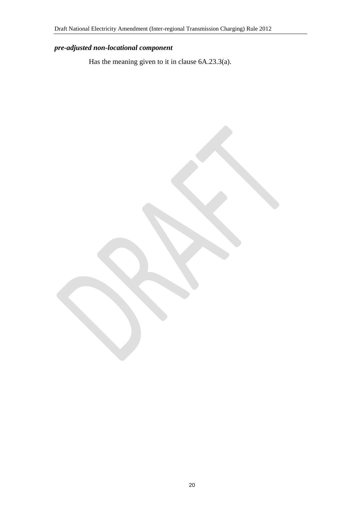# *pre-adjusted non-locational component*

Has the meaning given to it in clause 6A.23.3(a).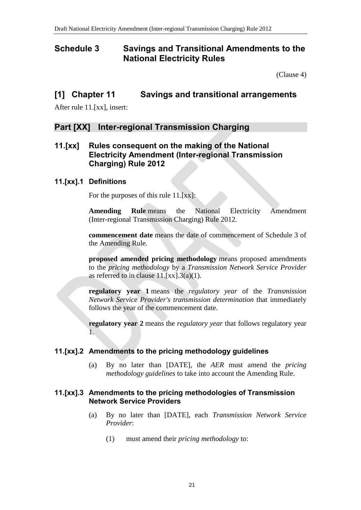### <span id="page-20-0"></span>**Schedule 3 Savings and Transitional Amendments to the National Electricity Rules**

(Clause [4\)](#page-1-1)

#### **[1] Chapter 11 Savings and transitional arrangements**

After rule 11.[xx], insert:

#### **Part [XX] Inter-regional Transmission Charging**

#### **11.[xx] Rules consequent on the making of the National Electricity Amendment (Inter-regional Transmission Charging) Rule 2012**

#### **11.[xx].1 Definitions**

For the purposes of this rule 11.[xx]:

**Amending Rule** means the National Electricity Amendment (Inter-regional Transmission Charging) Rule 2012.

**commencement date** means the date of commencement of Schedule 3 of the Amending Rule.

**proposed amended pricing methodology** means proposed amendments to the *pricing methodology* by a *Transmission Network Service Provider* as referred to in clause  $11.[xx].3(a)(1)$ .

**regulatory year 1** means the *regulatory year* of the *Transmission Network Service Provider's transmission determination* that immediately follows the year of the commencement date.

**regulatory year 2** means the *regulatory year* that follows regulatory year 1.

#### **11.[xx].2 Amendments to the pricing methodology guidelines**

(a) By no later than [DATE], the *AER* must amend the *pricing methodology guidelines* to take into account the Amending Rule.

#### **11.[xx].3 Amendments to the pricing methodologies of Transmission Network Service Providers**

- (a) By no later than [DATE], each *Transmission Network Service Provider*:
	- (1) must amend their *pricing methodology* to: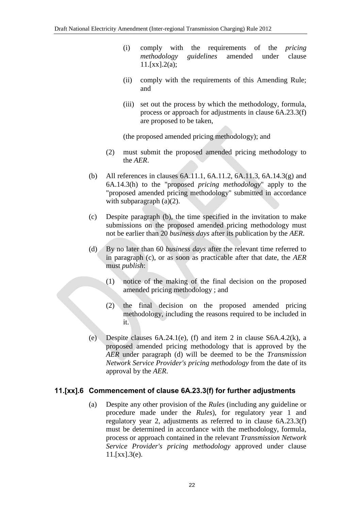- (i) comply with the requirements of the *pricing methodology guidelines* amended under clause  $11.[xx].2(a);$
- (ii) comply with the requirements of this Amending Rule; and
- (iii) set out the process by which the methodology, formula, process or approach for adjustments in clause 6A.23.3(f) are proposed to be taken,

(the proposed amended pricing methodology); and

- (2) must submit the proposed amended pricing methodology to the *AER*.
- (b) All references in clauses 6A.11.1, 6A.11.2, 6A.11.3, 6A.14.3(g) and 6A.14.3(h) to the "proposed *pricing methodology*" apply to the "proposed amended pricing methodology" submitted in accordance with subparagraph (a)(2).
- (c) Despite paragraph (b), the time specified in the invitation to make submissions on the proposed amended pricing methodology must not be earlier than 20 *business days* after its publication by the *AER*.
- (d) By no later than 60 *business days* after the relevant time referred to in paragraph (c), or as soon as practicable after that date, the *AER* must *publish*:
	- (1) notice of the making of the final decision on the proposed amended pricing methodology ; and
	- (2) the final decision on the proposed amended pricing methodology, including the reasons required to be included in it.
- (e) Despite clauses 6A.24.1(e), (f) and item 2 in clause S6A.4.2(k), a proposed amended pricing methodology that is approved by the *AER* under paragraph (d) will be deemed to be the *Transmission Network Service Provider's pricing methodology* from the date of its approval by the *AER*.

#### **11.[xx].6 Commencement of clause 6A.23.3(f) for further adjustments**

(a) Despite any other provision of the *Rules* (including any guideline or procedure made under the *Rules*), for regulatory year 1 and regulatory year 2, adjustments as referred to in clause 6A.23.3(f) must be determined in accordance with the methodology, formula, process or approach contained in the relevant *Transmission Network Service Provider's pricing methodology* approved under clause  $11.[xx].3(e).$